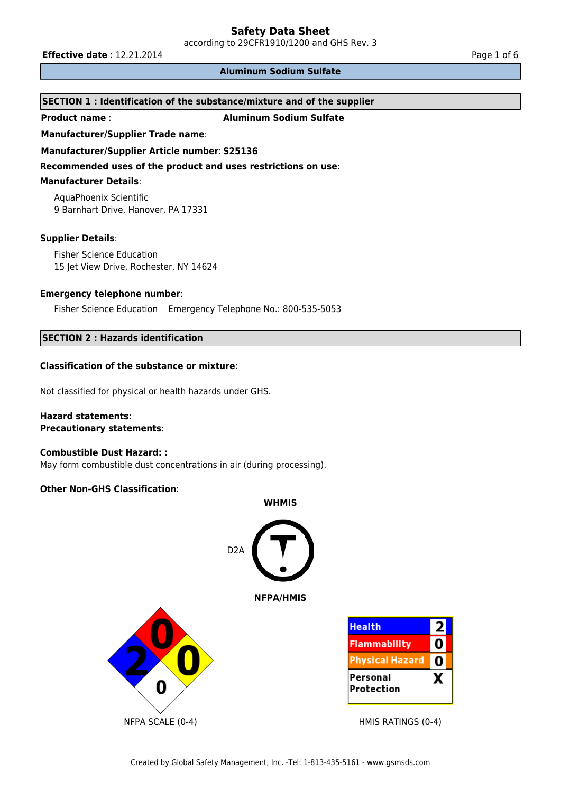according to 29CFR1910/1200 and GHS Rev. 3

**Effective date** : 12.21.2014 **Page 1 of 6 Page 1 of 6 Page 1 of 6** 

# **Aluminum Sodium Sulfate**

# **SECTION 1 : Identification of the substance/mixture and of the supplier**

**Product name** : **Aluminum Sodium Sulfate**

**Manufacturer/Supplier Trade name**:

**Manufacturer/Supplier Article number**: **S25136**

**Recommended uses of the product and uses restrictions on use**:

# **Manufacturer Details**:

AquaPhoenix Scientific 9 Barnhart Drive, Hanover, PA 17331

# **Supplier Details**:

Fisher Science Education 15 Jet View Drive, Rochester, NY 14624

# **Emergency telephone number**:

Fisher Science Education Emergency Telephone No.: 800-535-5053

# **SECTION 2 : Hazards identification**

# **Classification of the substance or mixture**:

Not classified for physical or health hazards under GHS.

# **Hazard statements**: **Precautionary statements**:

### **Combustible Dust Hazard: :**

May form combustible dust concentrations in air (during processing).

# **Other Non-GHS Classification**:

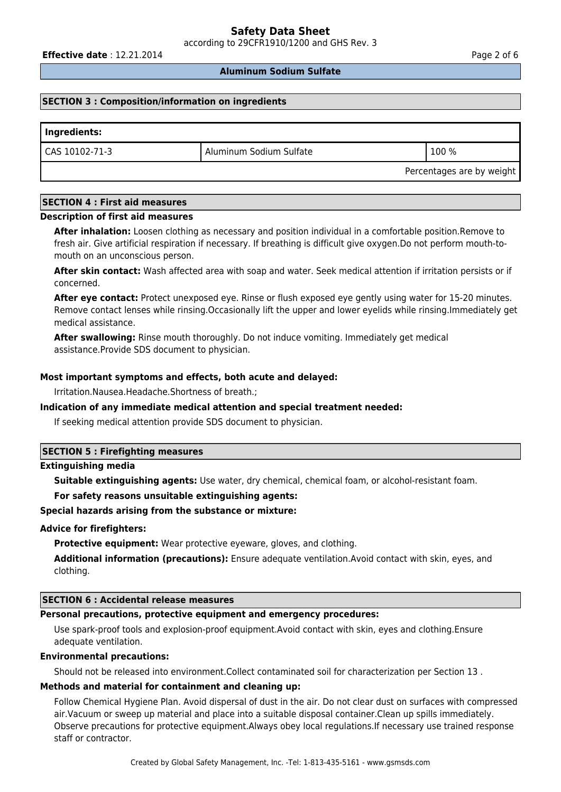according to 29CFR1910/1200 and GHS Rev. 3

**Effective date** : 12.21.2014 **Page 2 of 6 Page 2 of 6 Page 2 of 6** 

### **Aluminum Sodium Sulfate**

### **SECTION 3 : Composition/information on ingredients**

| Ingredients:              |                         |       |  |
|---------------------------|-------------------------|-------|--|
| CAS 10102-71-3            | Aluminum Sodium Sulfate | 100 % |  |
| Percentages are by weight |                         |       |  |

# **SECTION 4 : First aid measures**

### **Description of first aid measures**

**After inhalation:** Loosen clothing as necessary and position individual in a comfortable position.Remove to fresh air. Give artificial respiration if necessary. If breathing is difficult give oxygen.Do not perform mouth-tomouth on an unconscious person.

**After skin contact:** Wash affected area with soap and water. Seek medical attention if irritation persists or if concerned.

**After eye contact:** Protect unexposed eye. Rinse or flush exposed eye gently using water for 15-20 minutes. Remove contact lenses while rinsing.Occasionally lift the upper and lower eyelids while rinsing.Immediately get medical assistance.

**After swallowing:** Rinse mouth thoroughly. Do not induce vomiting. Immediately get medical assistance.Provide SDS document to physician.

### **Most important symptoms and effects, both acute and delayed:**

Irritation.Nausea.Headache.Shortness of breath.;

### **Indication of any immediate medical attention and special treatment needed:**

If seeking medical attention provide SDS document to physician.

### **SECTION 5 : Firefighting measures**

#### **Extinguishing media**

**Suitable extinguishing agents:** Use water, dry chemical, chemical foam, or alcohol-resistant foam.

#### **For safety reasons unsuitable extinguishing agents:**

### **Special hazards arising from the substance or mixture:**

### **Advice for firefighters:**

**Protective equipment:** Wear protective eyeware, gloves, and clothing.

**Additional information (precautions):** Ensure adequate ventilation.Avoid contact with skin, eyes, and clothing.

### **SECTION 6 : Accidental release measures**

# **Personal precautions, protective equipment and emergency procedures:**

Use spark-proof tools and explosion-proof equipment.Avoid contact with skin, eyes and clothing.Ensure adequate ventilation.

#### **Environmental precautions:**

Should not be released into environment.Collect contaminated soil for characterization per Section 13 .

# **Methods and material for containment and cleaning up:**

Follow Chemical Hygiene Plan. Avoid dispersal of dust in the air. Do not clear dust on surfaces with compressed air.Vacuum or sweep up material and place into a suitable disposal container.Clean up spills immediately. Observe precautions for protective equipment.Always obey local regulations.If necessary use trained response staff or contractor.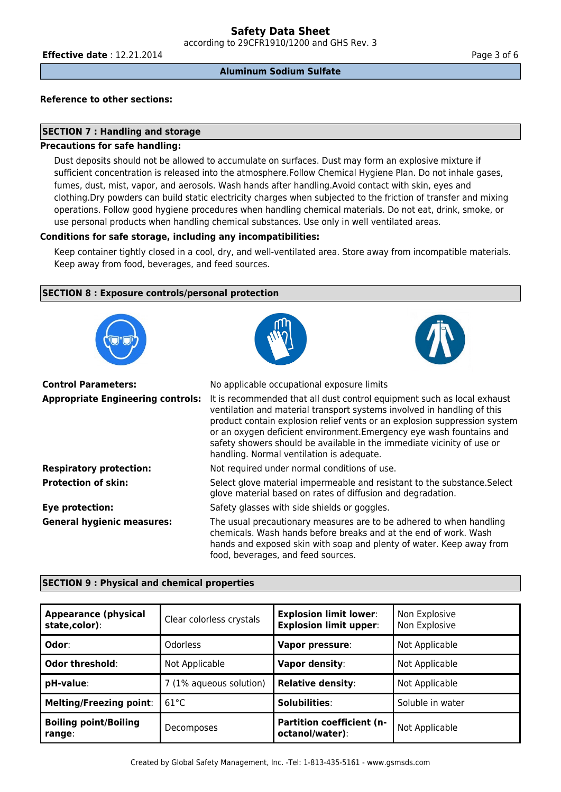according to 29CFR1910/1200 and GHS Rev. 3

**Effective date** : 12.21.2014 **Page 3 of 6 Page 3 of 6 Page 3 of 6** 

### **Aluminum Sodium Sulfate**

# **Reference to other sections:**

# **SECTION 7 : Handling and storage**

### **Precautions for safe handling:**

Dust deposits should not be allowed to accumulate on surfaces. Dust may form an explosive mixture if sufficient concentration is released into the atmosphere.Follow Chemical Hygiene Plan. Do not inhale gases, fumes, dust, mist, vapor, and aerosols. Wash hands after handling.Avoid contact with skin, eyes and clothing.Dry powders can build static electricity charges when subjected to the friction of transfer and mixing operations. Follow good hygiene procedures when handling chemical materials. Do not eat, drink, smoke, or use personal products when handling chemical substances. Use only in well ventilated areas.

# **Conditions for safe storage, including any incompatibilities:**

Keep container tightly closed in a cool, dry, and well-ventilated area. Store away from incompatible materials. Keep away from food, beverages, and feed sources.

# **SECTION 8 : Exposure controls/personal protection**







| <b>Control Parameters:</b>               | No applicable occupational exposure limits                                                                                                                                                                                                                                                                                                                                                                                     |
|------------------------------------------|--------------------------------------------------------------------------------------------------------------------------------------------------------------------------------------------------------------------------------------------------------------------------------------------------------------------------------------------------------------------------------------------------------------------------------|
| <b>Appropriate Engineering controls:</b> | It is recommended that all dust control equipment such as local exhaust<br>ventilation and material transport systems involved in handling of this<br>product contain explosion relief vents or an explosion suppression system<br>or an oxygen deficient environment. Emergency eye wash fountains and<br>safety showers should be available in the immediate vicinity of use or<br>handling. Normal ventilation is adequate. |
| <b>Respiratory protection:</b>           | Not required under normal conditions of use.                                                                                                                                                                                                                                                                                                                                                                                   |
| <b>Protection of skin:</b>               | Select glove material impermeable and resistant to the substance. Select<br>glove material based on rates of diffusion and degradation.                                                                                                                                                                                                                                                                                        |
| Eye protection:                          | Safety glasses with side shields or goggles.                                                                                                                                                                                                                                                                                                                                                                                   |
| <b>General hygienic measures:</b>        | The usual precautionary measures are to be adhered to when handling<br>chemicals. Wash hands before breaks and at the end of work. Wash<br>hands and exposed skin with soap and plenty of water. Keep away from<br>food, beverages, and feed sources.                                                                                                                                                                          |

### **SECTION 9 : Physical and chemical properties**

| <b>Appearance (physical</b><br>state,color): | Clear colorless crystals | <b>Explosion limit lower:</b><br><b>Explosion limit upper:</b> | Non Explosive<br>Non Explosive |
|----------------------------------------------|--------------------------|----------------------------------------------------------------|--------------------------------|
| Odor:                                        | <b>Odorless</b>          | <b>Vapor pressure:</b>                                         | Not Applicable                 |
| <b>Odor threshold:</b>                       | Not Applicable           | Vapor density:                                                 | Not Applicable                 |
| pH-value:                                    | 7 (1% aqueous solution)  | <b>Relative density:</b>                                       | Not Applicable                 |
| <b>Melting/Freezing point:</b>               | $61^{\circ}$ C           | Solubilities:                                                  | Soluble in water               |
| <b>Boiling point/Boiling</b><br>range:       | Decomposes               | Partition coefficient (n-<br>octanol/water):                   | Not Applicable                 |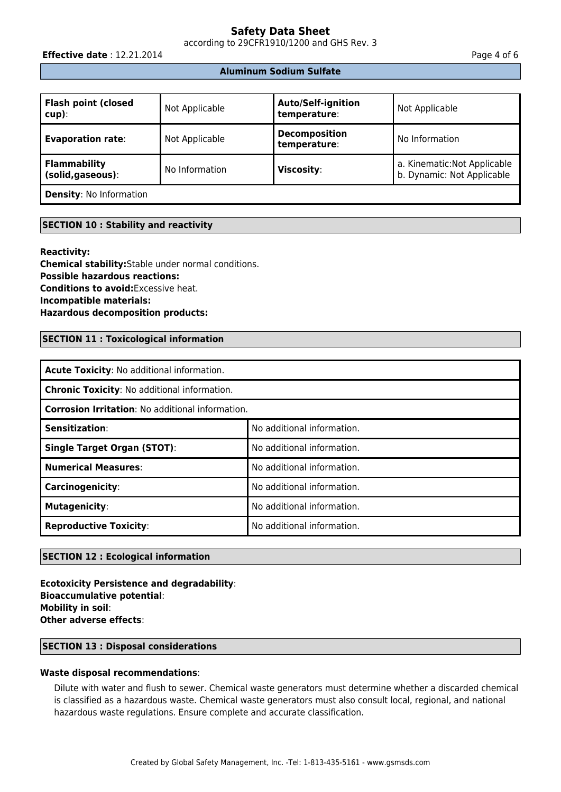according to 29CFR1910/1200 and GHS Rev. 3

**Effective date** : 12.21.2014 **Page 4 of 6** 

# **Aluminum Sodium Sulfate**

| <b>Flash point (closed</b><br>  cup):    | Not Applicable | <b>Auto/Self-ignition</b><br>temperature: | Not Applicable                                             |
|------------------------------------------|----------------|-------------------------------------------|------------------------------------------------------------|
| <b>Evaporation rate:</b>                 | Not Applicable | <b>Decomposition</b><br>temperature:      | No Information                                             |
| <b>Flammability</b><br>(solid, gaseous): | No Information | <b>Viscosity:</b>                         | a. Kinematic: Not Applicable<br>b. Dynamic: Not Applicable |
| <b>Density: No Information</b>           |                |                                           |                                                            |

# **SECTION 10 : Stability and reactivity**

**Reactivity:**

**Chemical stability:**Stable under normal conditions. **Possible hazardous reactions: Conditions to avoid:**Excessive heat. **Incompatible materials: Hazardous decomposition products:**

# **SECTION 11 : Toxicological information**

| Acute Toxicity: No additional information.              |                            |  |  |
|---------------------------------------------------------|----------------------------|--|--|
| <b>Chronic Toxicity: No additional information.</b>     |                            |  |  |
| <b>Corrosion Irritation: No additional information.</b> |                            |  |  |
| <b>Sensitization:</b>                                   | No additional information. |  |  |
| <b>Single Target Organ (STOT):</b>                      | No additional information. |  |  |
| <b>Numerical Measures:</b>                              | No additional information. |  |  |
| Carcinogenicity:                                        | No additional information. |  |  |
| <b>Mutagenicity:</b>                                    | No additional information. |  |  |
| <b>Reproductive Toxicity:</b>                           | No additional information. |  |  |

### **SECTION 12 : Ecological information**

**Ecotoxicity Persistence and degradability**: **Bioaccumulative potential**: **Mobility in soil**: **Other adverse effects**:

# **SECTION 13 : Disposal considerations**

### **Waste disposal recommendations**:

Dilute with water and flush to sewer. Chemical waste generators must determine whether a discarded chemical is classified as a hazardous waste. Chemical waste generators must also consult local, regional, and national hazardous waste regulations. Ensure complete and accurate classification.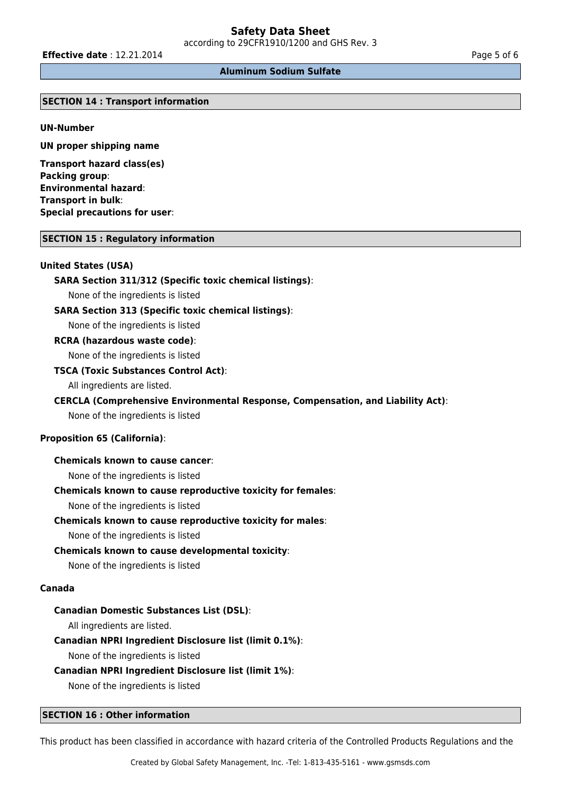according to 29CFR1910/1200 and GHS Rev. 3

**Effective date** : 12.21.2014 **Page 5 of 6** 

**Aluminum Sodium Sulfate**

# **SECTION 14 : Transport information**

**UN-Number**

**UN proper shipping name**

**Transport hazard class(es) Packing group**: **Environmental hazard**: **Transport in bulk**: **Special precautions for user**:

### **SECTION 15 : Regulatory information**

### **United States (USA)**

### **SARA Section 311/312 (Specific toxic chemical listings)**:

None of the ingredients is listed

### **SARA Section 313 (Specific toxic chemical listings)**:

None of the ingredients is listed

### **RCRA (hazardous waste code)**:

None of the ingredients is listed

### **TSCA (Toxic Substances Control Act)**:

All ingredients are listed.

# **CERCLA (Comprehensive Environmental Response, Compensation, and Liability Act)**:

None of the ingredients is listed

### **Proposition 65 (California)**:

### **Chemicals known to cause cancer**:

None of the ingredients is listed

### **Chemicals known to cause reproductive toxicity for females**:

None of the ingredients is listed

### **Chemicals known to cause reproductive toxicity for males**:

None of the ingredients is listed

### **Chemicals known to cause developmental toxicity**:

None of the ingredients is listed

### **Canada**

### **Canadian Domestic Substances List (DSL)**:

All ingredients are listed.

#### **Canadian NPRI Ingredient Disclosure list (limit 0.1%)**:

None of the ingredients is listed

### **Canadian NPRI Ingredient Disclosure list (limit 1%)**:

None of the ingredients is listed

### **SECTION 16 : Other information**

This product has been classified in accordance with hazard criteria of the Controlled Products Regulations and the